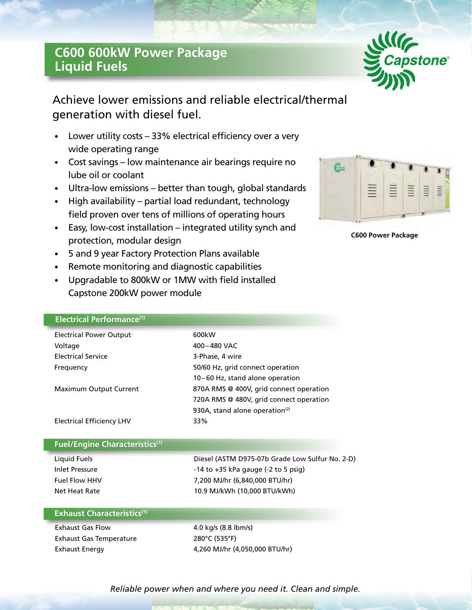# **C600 600kW Power Package Liquid Fuels**



Achieve lower emissions and reliable electrical/thermal generation with diesel fuel.

- Lower utility costs 33% electrical efficiency over a very wide operating range
- Cost savings low maintenance air bearings require no lube oil or coolant
- Ultra-low emissions better than tough, global standards
- High availability partial load redundant, technology field proven over tens of millions of operating hours
- Easy, low-cost installation integrated utility synch and protection, modular design
- 5 and 9 year Factory Protection Plans available
- Remote monitoring and diagnostic capabilities
- Upgradable to 800kW or 1MW with field installed Capstone 200kW power module



**C600 Power Package**

|  | Electrical Performance <sup>(1)</sup> |  |
|--|---------------------------------------|--|
|  |                                       |  |

| <b>Electrical Power Output</b> | 600kW                                      |  |
|--------------------------------|--------------------------------------------|--|
| Voltage                        | 400-480 VAC                                |  |
| <b>Electrical Service</b>      | 3-Phase, 4 wire                            |  |
| Frequency                      | 50/60 Hz, grid connect operation           |  |
|                                | 10-60 Hz, stand alone operation            |  |
| Maximum Output Current         | 870A RMS @ 400V, grid connect operation    |  |
|                                | 720A RMS @ 480V, grid connect operation    |  |
|                                | 930A, stand alone operation <sup>(2)</sup> |  |
| Electrical Efficiency LHV      | 33%                                        |  |

# **Fuel/Engine Characteristics(1)**

Liquid Fuels Diesel (ASTM D975-07b Grade Low Sulfur No. 2-D) Inlet Pressure **Inlet Pressure** -14 to +35 kPa gauge (-2 to 5 psig) Fuel Flow HHV 7,200 MJ/hr (6,840,000 BTU/hr) Net Heat Rate 10.9 MJ/kWh (10,000 BTU/kWh)

# **Exhaust Characteristics(1)**

Exhaust Gas Flow 4.0 kg/s (8.8 lbm/s) Exhaust Gas Temperature 280°C (535°F)

Exhaust Energy 4,260 MJ/hr (4,050,000 BTU/hr)

*Reliable power when and where you need it. Clean and simple.*